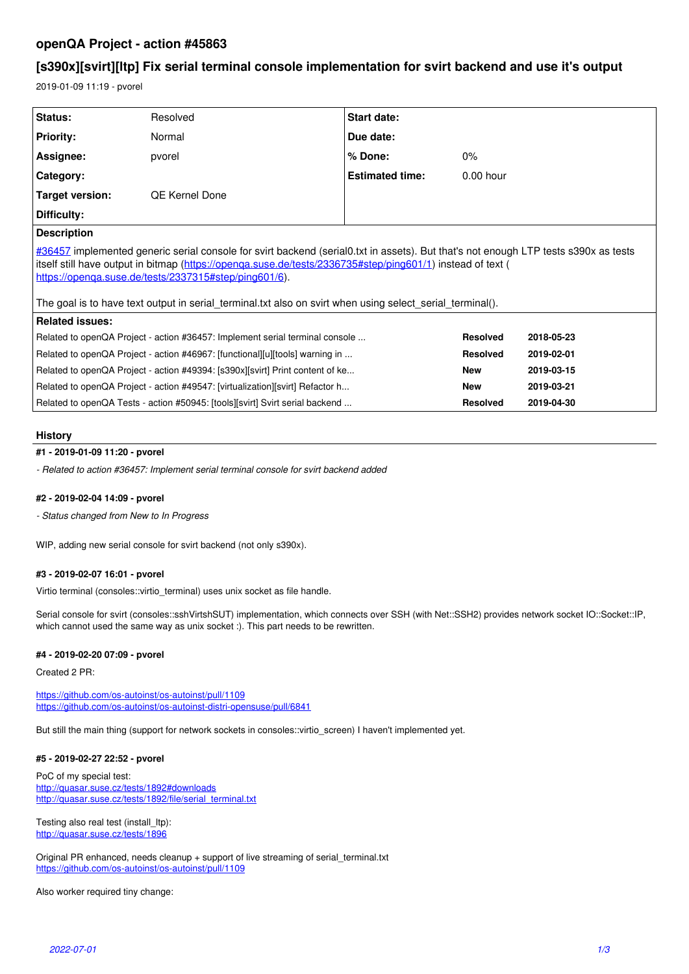# **openQA Project - action #45863**

# **[s390x][svirt][ltp] Fix serial terminal console implementation for svirt backend and use it's output**

2019-01-09 11:19 - pvorel

| Status:                                                                                                                                                                                                                                                                                                                                                                                                                 | Resolved       | Start date:            |                 |            |
|-------------------------------------------------------------------------------------------------------------------------------------------------------------------------------------------------------------------------------------------------------------------------------------------------------------------------------------------------------------------------------------------------------------------------|----------------|------------------------|-----------------|------------|
| <b>Priority:</b>                                                                                                                                                                                                                                                                                                                                                                                                        | Normal         | Due date:              |                 |            |
| Assignee:                                                                                                                                                                                                                                                                                                                                                                                                               | pvorel         | $%$ Done:              | $0\%$           |            |
| Category:                                                                                                                                                                                                                                                                                                                                                                                                               |                | <b>Estimated time:</b> | $0.00$ hour     |            |
| Target version:                                                                                                                                                                                                                                                                                                                                                                                                         | QE Kernel Done |                        |                 |            |
| Difficulty:                                                                                                                                                                                                                                                                                                                                                                                                             |                |                        |                 |            |
| <b>Description</b>                                                                                                                                                                                                                                                                                                                                                                                                      |                |                        |                 |            |
| #36457 implemented generic serial console for svirt backend (serial0.txt in assets). But that's not enough LTP tests s390x as tests<br>itself still have output in bitmap (https://openga.suse.de/tests/2336735#step/ping601/1) instead of text (<br>https://openga.suse.de/tests/2337315#step/ping601/6).<br>The goal is to have text output in serial terminal.txt also on svirt when using select serial terminal(). |                |                        |                 |            |
| <b>Related issues:</b>                                                                                                                                                                                                                                                                                                                                                                                                  |                |                        |                 |            |
| Related to openQA Project - action #36457: Implement serial terminal console                                                                                                                                                                                                                                                                                                                                            |                |                        | <b>Resolved</b> | 2018-05-23 |
| Related to openQA Project - action #46967: [functional][u][tools] warning in                                                                                                                                                                                                                                                                                                                                            |                |                        | <b>Resolved</b> | 2019-02-01 |
| Related to openQA Project - action #49394: [s390x][svirt] Print content of ke                                                                                                                                                                                                                                                                                                                                           |                |                        | <b>New</b>      | 2019-03-15 |
| Related to openQA Project - action #49547: [virtualization][svirt] Refactor h                                                                                                                                                                                                                                                                                                                                           |                |                        | <b>New</b>      | 2019-03-21 |
| Related to openQA Tests - action #50945: [tools][svirt] Svirt serial backend                                                                                                                                                                                                                                                                                                                                            |                |                        | <b>Resolved</b> | 2019-04-30 |

## **History**

# **#1 - 2019-01-09 11:20 - pvorel**

*- Related to action #36457: Implement serial terminal console for svirt backend added*

## **#2 - 2019-02-04 14:09 - pvorel**

*- Status changed from New to In Progress*

WIP, adding new serial console for svirt backend (not only s390x).

## **#3 - 2019-02-07 16:01 - pvorel**

Virtio terminal (consoles::virtio terminal) uses unix socket as file handle.

Serial console for svirt (consoles::sshVirtshSUT) implementation, which connects over SSH (with Net::SSH2) provides network socket IO::Socket::IP, which cannot used the same way as unix socket :). This part needs to be rewritten.

## **#4 - 2019-02-20 07:09 - pvorel**

Created 2 PR:

<https://github.com/os-autoinst/os-autoinst/pull/1109> <https://github.com/os-autoinst/os-autoinst-distri-opensuse/pull/6841>

But still the main thing (support for network sockets in consoles::virtio\_screen) I haven't implemented yet.

## **#5 - 2019-02-27 22:52 - pvorel**

PoC of my special test: <http://quasar.suse.cz/tests/1892#downloads> [http://quasar.suse.cz/tests/1892/file/serial\\_terminal.txt](http://quasar.suse.cz/tests/1892/file/serial_terminal.txt)

Testing also real test (install\_ltp): <http://quasar.suse.cz/tests/1896>

Original PR enhanced, needs cleanup + support of live streaming of serial\_terminal.txt <https://github.com/os-autoinst/os-autoinst/pull/1109>

Also worker required tiny change: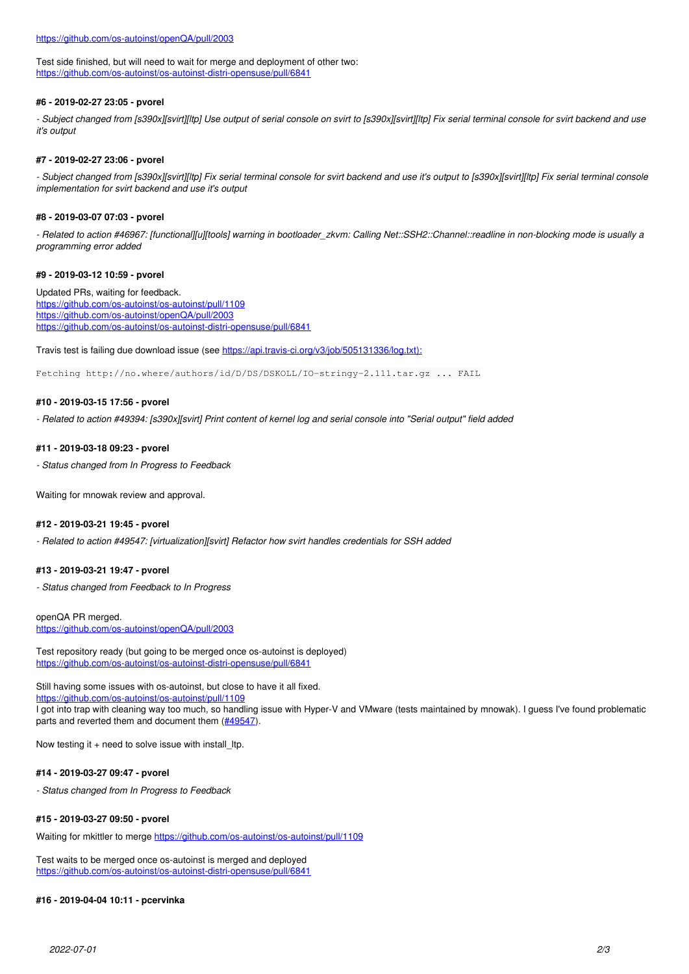Test side finished, but will need to wait for merge and deployment of other two: <https://github.com/os-autoinst/os-autoinst-distri-opensuse/pull/6841>

## **#6 - 2019-02-27 23:05 - pvorel**

*- Subject changed from [s390x][svirt][ltp] Use output of serial console on svirt to [s390x][svirt][ltp] Fix serial terminal console for svirt backend and use it's output*

## **#7 - 2019-02-27 23:06 - pvorel**

*- Subject changed from [s390x][svirt][ltp] Fix serial terminal console for svirt backend and use it's output to [s390x][svirt][ltp] Fix serial terminal console implementation for svirt backend and use it's output*

#### **#8 - 2019-03-07 07:03 - pvorel**

*- Related to action #46967: [functional][u][tools] warning in bootloader\_zkvm: Calling Net::SSH2::Channel::readline in non-blocking mode is usually a programming error added*

#### **#9 - 2019-03-12 10:59 - pvorel**

Updated PRs, waiting for feedback. <https://github.com/os-autoinst/os-autoinst/pull/1109> <https://github.com/os-autoinst/openQA/pull/2003> <https://github.com/os-autoinst/os-autoinst-distri-opensuse/pull/6841>

Travis test is failing due download issue (see [https://api.travis-ci.org/v3/job/505131336/log.txt\):](https://api.travis-ci.org/v3/job/505131336/log.txt):)

Fetching http://no.where/authors/id/D/DS/DSKOLL/IO-stringy-2.111.tar.gz ... FAIL

#### **#10 - 2019-03-15 17:56 - pvorel**

*- Related to action #49394: [s390x][svirt] Print content of kernel log and serial console into "Serial output" field added*

## **#11 - 2019-03-18 09:23 - pvorel**

*- Status changed from In Progress to Feedback*

Waiting for mnowak review and approval.

## **#12 - 2019-03-21 19:45 - pvorel**

*- Related to action #49547: [virtualization][svirt] Refactor how svirt handles credentials for SSH added*

#### **#13 - 2019-03-21 19:47 - pvorel**

*- Status changed from Feedback to In Progress*

openQA PR merged. <https://github.com/os-autoinst/openQA/pull/2003>

Test repository ready (but going to be merged once os-autoinst is deployed) <https://github.com/os-autoinst/os-autoinst-distri-opensuse/pull/6841>

Still having some issues with os-autoinst, but close to have it all fixed. <https://github.com/os-autoinst/os-autoinst/pull/1109> I got into trap with cleaning way too much, so handling issue with Hyper-V and VMware (tests maintained by mnowak). I guess I've found problematic parts and reverted them and document them ([#49547\)](https://progress.opensuse.org/issues/49547).

Now testing it + need to solve issue with install\_ltp.

#### **#14 - 2019-03-27 09:47 - pvorel**

*- Status changed from In Progress to Feedback*

#### **#15 - 2019-03-27 09:50 - pvorel**

Waiting for mkittler to merge<https://github.com/os-autoinst/os-autoinst/pull/1109>

Test waits to be merged once os-autoinst is merged and deployed <https://github.com/os-autoinst/os-autoinst-distri-opensuse/pull/6841>

#### **#16 - 2019-04-04 10:11 - pcervinka**